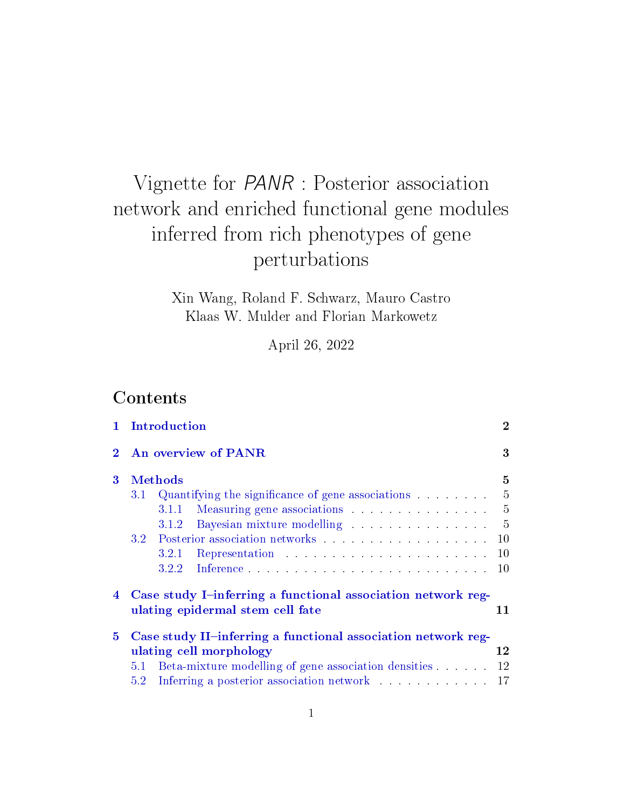# Vignette for PANR : Posterior association network and enriched functional gene modules inferred from rich phenotypes of gene perturbations

Xin Wang, Roland F. Schwarz, Mauro Castro Klaas W. Mulder and Florian Markowetz

April 26, 2022

## Contents

|              | Introduction                                                                                     |                |  |  |  |  |  |  |
|--------------|--------------------------------------------------------------------------------------------------|----------------|--|--|--|--|--|--|
| 2            | An overview of PANR                                                                              |                |  |  |  |  |  |  |
| 3            | <b>Methods</b>                                                                                   | 5              |  |  |  |  |  |  |
|              | 3.1                                                                                              | $\overline{5}$ |  |  |  |  |  |  |
|              | Measuring gene associations<br>3.1.1                                                             | $\overline{5}$ |  |  |  |  |  |  |
|              | Bayesian mixture modelling<br>3.1.2                                                              | $\overline{5}$ |  |  |  |  |  |  |
| 3.2          |                                                                                                  |                |  |  |  |  |  |  |
|              | 3.2.1                                                                                            | 10             |  |  |  |  |  |  |
|              | 3.2.2                                                                                            | 10             |  |  |  |  |  |  |
| 4            | Case study I-inferring a functional association network reg-<br>ulating epidermal stem cell fate |                |  |  |  |  |  |  |
| $\mathbf{5}$ | Case study II-inferring a functional association network reg-                                    |                |  |  |  |  |  |  |
|              | ulating cell morphology                                                                          |                |  |  |  |  |  |  |
|              | Beta-mixture modelling of gene association densities<br>5.1                                      |                |  |  |  |  |  |  |
|              | 5.2                                                                                              | 17             |  |  |  |  |  |  |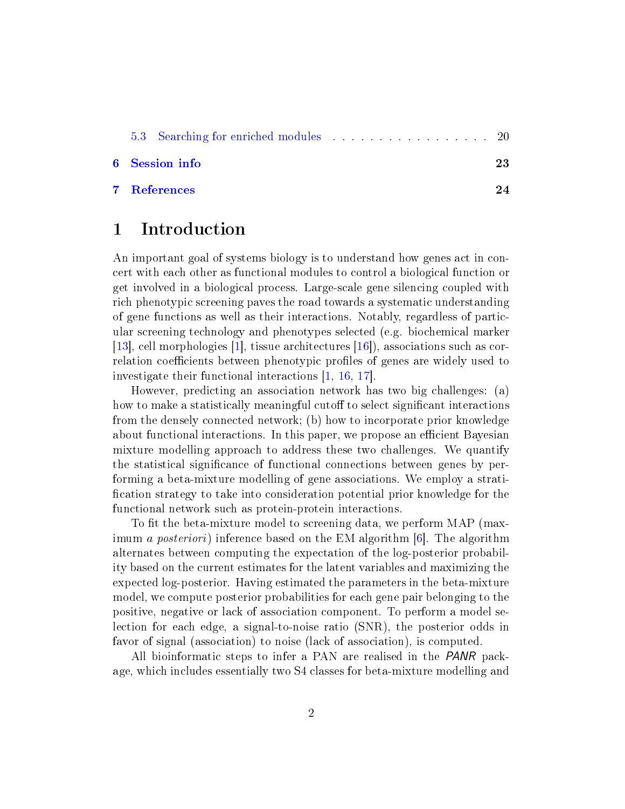<span id="page-1-1"></span>

|  | <b>6</b> Session info |  |  |  |  |  |  |  |  | 23 |
|--|-----------------------|--|--|--|--|--|--|--|--|----|

[7 References](#page-23-0) 24

### <span id="page-1-0"></span>1 Introduction

An important goal of systems biology is to understand how genes act in concert with each other as functional modules to control a biological function or get involved in a biological process. Large-scale gene silencing coupled with rich phenotypic screening paves the road towards a systematic understanding of gene functions as well as their interactions. Notably, regardless of particular screening technology and phenotypes selected (e.g. biochemical marker [\[13\]](#page-24-0), cell morphologies [\[1\]](#page-23-1), tissue architectures [\[16\]](#page-24-1)), associations such as correlation coefficients between phenotypic profiles of genes are widely used to investigate their functional interactions [\[1,](#page-23-1) [16,](#page-24-1) [17\]](#page-23-2).

However, predicting an association network has two big challenges: (a) how to make a statistically meaningful cutoff to select significant interactions from the densely connected network; (b) how to incorporate prior knowledge about functional interactions. In this paper, we propose an efficient Bayesian mixture modelling approach to address these two challenges. We quantify the statistical significance of functional connections between genes by performing a beta-mixture modelling of gene associations. We employ a strati fication strategy to take into consideration potential prior knowledge for the functional network such as protein-protein interactions.

To fit the beta-mixture model to screening data, we perform MAP (maximum a posteriori) inference based on the EM algorithm [\[6\]](#page-23-3). The algorithm alternates between computing the expectation of the log-posterior probability based on the current estimates for the latent variables and maximizing the expected log-posterior. Having estimated the parameters in the beta-mixture model, we compute posterior probabilities for each gene pair belonging to the positive, negative or lack of association component. To perform a model selection for each edge, a signal-to-noise ratio (SNR), the posterior odds in favor of signal (association) to noise (lack of association), is computed.

All bioinformatic steps to infer a PAN are realised in the *PANR* package, which includes essentially two S4 classes for beta-mixture modelling and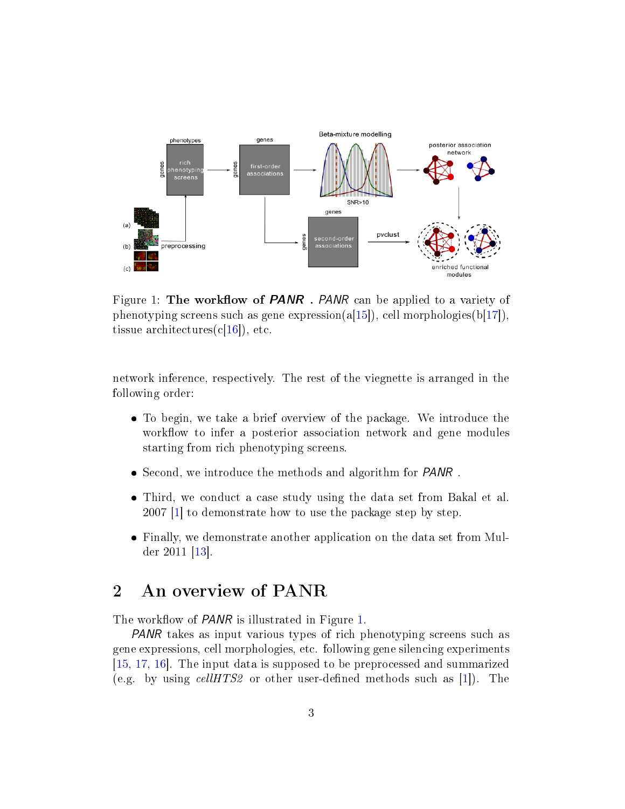<span id="page-2-2"></span>

<span id="page-2-1"></span>Figure 1: The workflow of **PANR**. PANR can be applied to a variety of phenotyping screens such as gene expression(a[\[15\]](#page-24-2)), cell morphologies(b[\[17\]](#page-23-2)), tissue architectures $(c[16])$  $(c[16])$  $(c[16])$ , etc.

network inference, respectively. The rest of the viegnette is arranged in the following order:

- To begin, we take a brief overview of the package. We introduce the workflow to infer a posterior association network and gene modules starting from rich phenotyping screens.
- Second, we introduce the methods and algorithm for PANR .
- Third, we conduct a case study using the data set from Bakal et al. 2007 [\[1\]](#page-23-1) to demonstrate how to use the package step by step.
- Finally, we demonstrate another application on the data set from Mulder 2011 [\[13\]](#page-24-0).

## <span id="page-2-0"></span>2 An overview of PANR

The workflow of *PANR* is illustrated in Figure [1.](#page-2-1)

PANR takes as input various types of rich phenotyping screens such as gene expressions, cell morphologies, etc. following gene silencing experiments [\[15,](#page-24-2) [17,](#page-23-2) [16\]](#page-24-1). The input data is supposed to be preprocessed and summarized (e.g. by using cellHTS2 or other user-defined methods such as [\[1\]](#page-23-1)). The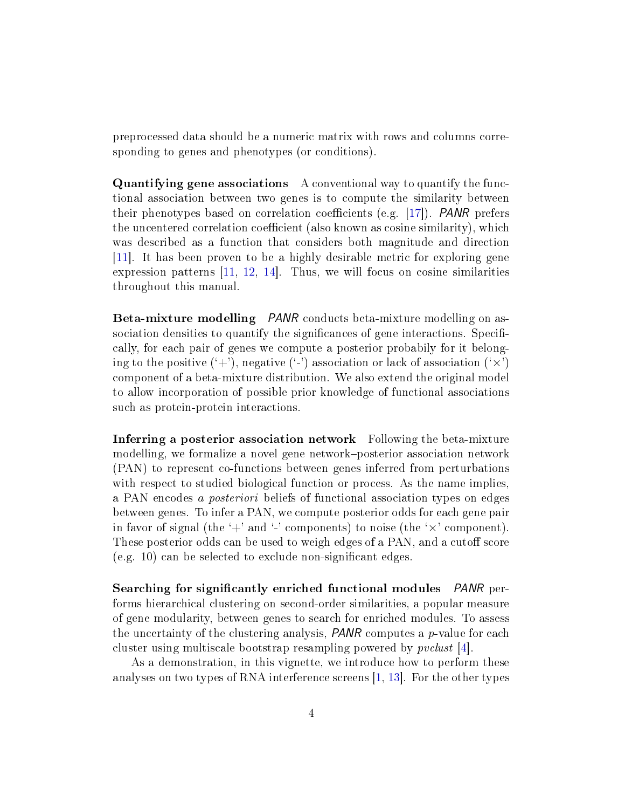<span id="page-3-0"></span>preprocessed data should be a numeric matrix with rows and columns corresponding to genes and phenotypes (or conditions).

Quantifying gene associations A conventional way to quantify the functional association between two genes is to compute the similarity between their phenotypes based on correlation coefficients (e.g.  $[17]$ ). *PANR* prefers the uncentered correlation coefficient (also known as cosine similarity), which was described as a function that considers both magnitude and direction [\[11\]](#page-24-3). It has been proven to be a highly desirable metric for exploring gene expression patterns [\[11,](#page-24-3) [12,](#page-24-4) [14\]](#page-24-5). Thus, we will focus on cosine similarities throughout this manual.

Beta-mixture modelling PANR conducts beta-mixture modelling on association densities to quantify the significances of gene interactions. Specifically, for each pair of genes we compute a posterior probabily for it belonging to the positive  $(2)$ , negative  $(3)$  association or lack of association  $(3)$ component of a beta-mixture distribution. We also extend the original model to allow incorporation of possible prior knowledge of functional associations such as protein-protein interactions.

Inferring a posterior association network Following the beta-mixture modelling, we formalize a novel gene network-posterior association network (PAN) to represent co-functions between genes inferred from perturbations with respect to studied biological function or process. As the name implies, a PAN encodes a posteriori beliefs of functional association types on edges between genes. To infer a PAN, we compute posterior odds for each gene pair in favor of signal (the  $+$ ' and  $-$ ' components) to noise (the  $\times$ ' component). These posterior odds can be used to weigh edges of a PAN, and a cutoff score (e.g. 10) can be selected to exclude non-signicant edges.

Searching for significantly enriched functional modules PANR performs hierarchical clustering on second-order similarities, a popular measure of gene modularity, between genes to search for enriched modules. To assess the uncertainty of the clustering analysis,  $PANR$  computes a  $p$ -value for each cluster using multiscale bootstrap resampling powered by pvclust [\[4\]](#page-23-4).

As a demonstration, in this vignette, we introduce how to perform these analyses on two types of RNA interference screens [\[1,](#page-23-1) [13\]](#page-24-0). For the other types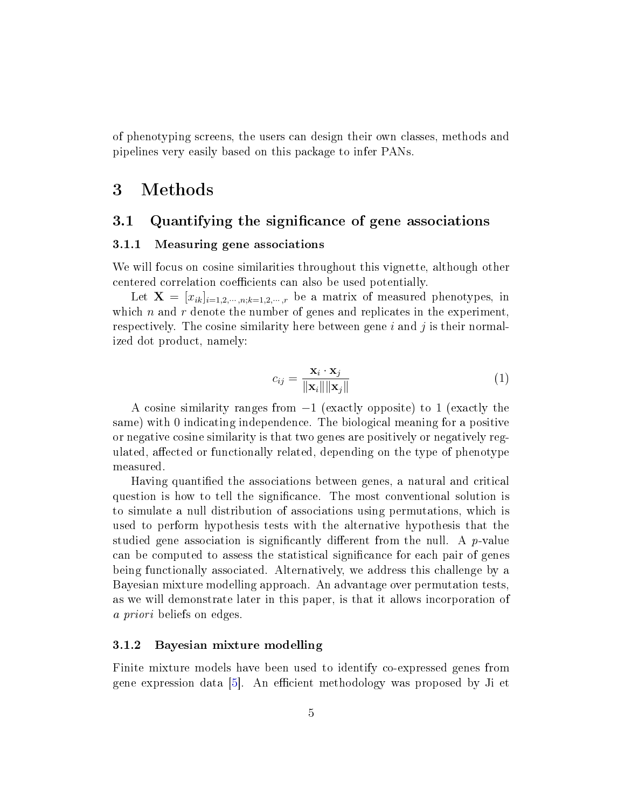<span id="page-4-4"></span>of phenotyping screens, the users can design their own classes, methods and pipelines very easily based on this package to infer PANs.

## <span id="page-4-0"></span>3 Methods

### <span id="page-4-1"></span>3.1 Quantifying the significance of gene associations

### <span id="page-4-2"></span>3.1.1 Measuring gene associations

We will focus on cosine similarities throughout this vignette, although other centered correlation coefficients can also be used potentially.

Let  $X = [x_{ik}]_{i=1,2,\dots,n;k=1,2,\dots,r}$  be a matrix of measured phenotypes, in which  $n$  and  $r$  denote the number of genes and replicates in the experiment, respectively. The cosine similarity here between gene  $i$  and  $j$  is their normalized dot product, namely:

$$
c_{ij} = \frac{\mathbf{x}_i \cdot \mathbf{x}_j}{\|\mathbf{x}_i\| \|\mathbf{x}_j\|} \tag{1}
$$

A cosine similarity ranges from  $-1$  (exactly opposite) to 1 (exactly the same) with 0 indicating independence. The biological meaning for a positive or negative cosine similarity is that two genes are positively or negatively regulated, affected or functionally related, depending on the type of phenotype measured.

Having quantified the associations between genes, a natural and critical question is how to tell the signicance. The most conventional solution is to simulate a null distribution of associations using permutations, which is used to perform hypothesis tests with the alternative hypothesis that the studied gene association is significantly different from the null. A  $p$ -value can be computed to assess the statistical signicance for each pair of genes being functionally associated. Alternatively, we address this challenge by a Bayesian mixture modelling approach. An advantage over permutation tests, as we will demonstrate later in this paper, is that it allows incorporation of a priori beliefs on edges.

### <span id="page-4-3"></span>3.1.2 Bayesian mixture modelling

Finite mixture models have been used to identify co-expressed genes from gene expression data  $[5]$ . An efficient methodology was proposed by Ji et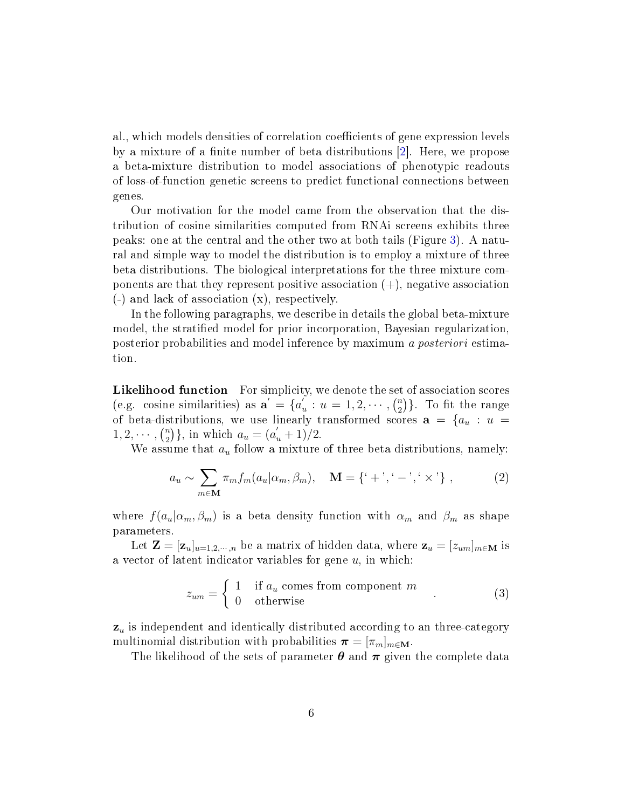<span id="page-5-0"></span>al., which models densities of correlation coefficients of gene expression levels by a mixture of a finite number of beta distributions [\[2\]](#page-23-6). Here, we propose a beta-mixture distribution to model associations of phenotypic readouts of loss-of-function genetic screens to predict functional connections between genes.

Our motivation for the model came from the observation that the distribution of cosine similarities computed from RNAi screens exhibits three peaks: one at the central and the other two at both tails (Figure [3\)](#page-15-0). A natural and simple way to model the distribution is to employ a mixture of three beta distributions. The biological interpretations for the three mixture components are that they represent positive association  $(+)$ , negative association (-) and lack of association (x), respectively.

In the following paragraphs, we describe in details the global beta-mixture model, the stratified model for prior incorporation, Bayesian regularization. posterior probabilities and model inference by maximum a posteriori estimation.

Likelihood function For simplicity, we denote the set of association scores (e.g. cosine similarities) as  $\mathbf{a}' = \{a'_i\}$  $u'_{u}: u = 1, 2, \cdots, \binom{n}{2}$  $\binom{n}{2}$ . To fit the range of beta-distributions, we use linearly transformed scores  $a = \{a_u : u =$  $1, 2, \cdots, \binom{n}{2}$  ${n \choose 2}$ , in which  $a_u = (a'_u + 1)/2$ .

We assume that  $a_u$  follow a mixture of three beta distributions, namely:

$$
a_u \sim \sum_{m \in \mathbf{M}} \pi_m f_m(a_u | \alpha_m, \beta_m), \quad \mathbf{M} = \{ ' + ', ' - ', ' \times ' \} ,
$$
 (2)

where  $f(a_u|\alpha_m, \beta_m)$  is a beta density function with  $\alpha_m$  and  $\beta_m$  as shape parameters.

Let  $\mathbf{Z} = [\mathbf{z}_u]_{u=1,2,\dots,n}$  be a matrix of hidden data, where  $\mathbf{z}_u = [z_{um}]_{m \in \mathbf{M}}$  is a vector of latent indicator variables for gene  $u$ , in which:

$$
z_{um} = \begin{cases} 1 & \text{if } a_u \text{ comes from component } m \\ 0 & \text{otherwise} \end{cases}
$$
 (3)

 $\mathbf{z}_u$  is independent and identically distributed according to an three-category multinomial distribution with probabilities  $\boldsymbol{\pi} = [\pi_m]_{m \in \mathbf{M}}$ .

The likelihood of the sets of parameter  $\theta$  and  $\pi$  given the complete data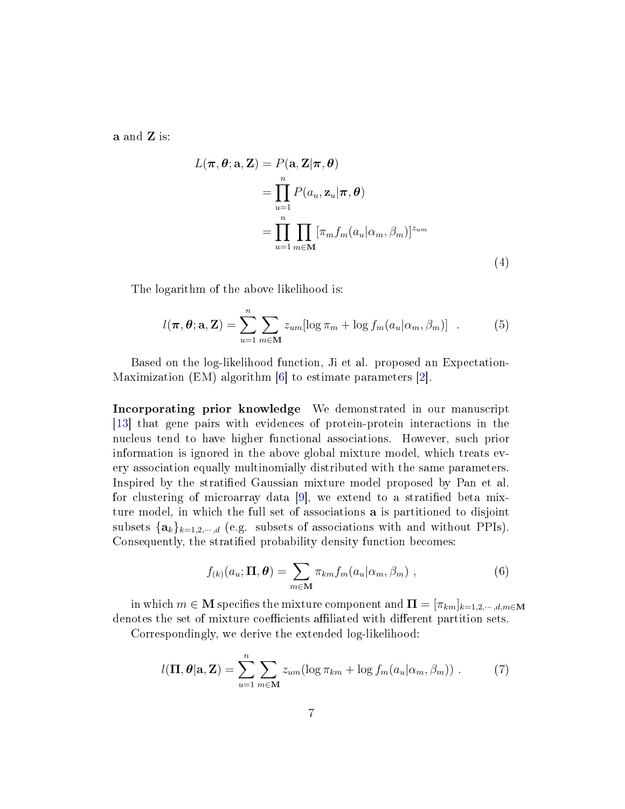<span id="page-6-0"></span>a and Z is:

$$
L(\boldsymbol{\pi}, \boldsymbol{\theta}; \mathbf{a}, \mathbf{Z}) = P(\mathbf{a}, \mathbf{Z} | \boldsymbol{\pi}, \boldsymbol{\theta})
$$
  
= 
$$
\prod_{u=1}^{n} P(a_u, \mathbf{z}_u | \boldsymbol{\pi}, \boldsymbol{\theta})
$$
  
= 
$$
\prod_{u=1}^{n} \prod_{m \in \mathbf{M}} [\pi_m f_m(a_u | \alpha_m, \beta_m)]^{z_{um}}
$$
(4)

The logarithm of the above likelihood is:

$$
l(\boldsymbol{\pi}, \boldsymbol{\theta}; \mathbf{a}, \mathbf{Z}) = \sum_{u=1}^{n} \sum_{m \in \mathbf{M}} z_{um} [\log \pi_m + \log f_m(a_u | \alpha_m, \beta_m)] \quad . \tag{5}
$$

Based on the log-likelihood function, Ji et al. proposed an Expectation-Maximization (EM) algorithm [\[6\]](#page-23-3) to estimate parameters [\[2\]](#page-23-6).

Incorporating prior knowledge We demonstrated in our manuscript [\[13\]](#page-24-0) that gene pairs with evidences of protein-protein interactions in the nucleus tend to have higher functional associations. However, such prior information is ignored in the above global mixture model, which treats every association equally multinomially distributed with the same parameters. Inspired by the stratified Gaussian mixture model proposed by Pan et al. for clustering of microarray data  $[9]$ , we extend to a stratified beta mixture model, in which the full set of associations a is partitioned to disjoint subsets  $\{a_k\}_{k=1,2,\dots,d}$  (e.g. subsets of associations with and without PPIs). Consequently, the stratified probability density function becomes:

$$
f_{(k)}(a_u; \mathbf{\Pi}, \boldsymbol{\theta}) = \sum_{m \in \mathbf{M}} \pi_{km} f_m(a_u | \alpha_m, \beta_m) , \qquad (6)
$$

in which  $m \in \mathbf{M}$  specifies the mixture component and  $\mathbf{\Pi} = [\pi_{km}]_{k=1,2,\cdots,d,m \in \mathbf{M}}$ denotes the set of mixture coefficients affiliated with different partition sets.

Correspondingly, we derive the extended log-likelihood:

$$
l(\mathbf{\Pi}, \boldsymbol{\theta} | \mathbf{a}, \mathbf{Z}) = \sum_{u=1}^{n} \sum_{m \in \mathbf{M}} z_{um} (\log \pi_{km} + \log f_m(a_u | \alpha_m, \beta_m)) . \tag{7}
$$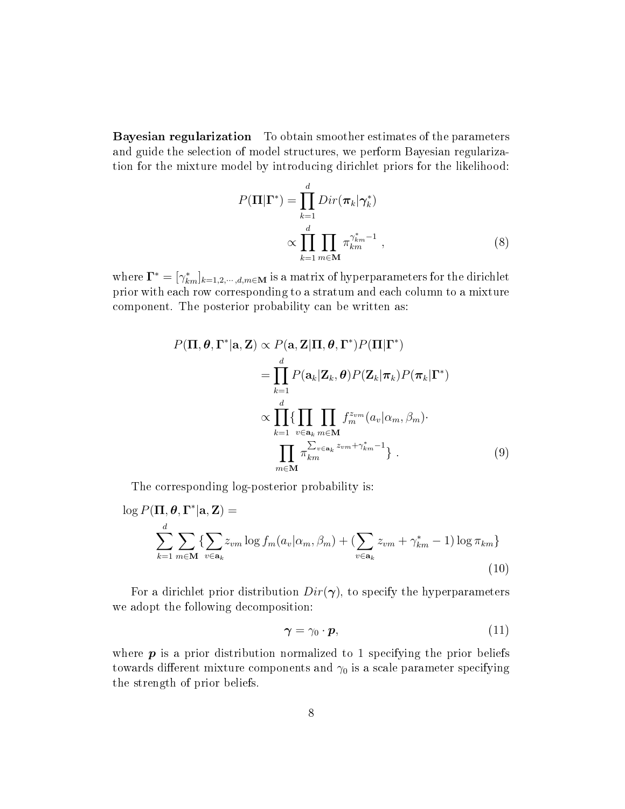Bayesian regularization To obtain smoother estimates of the parameters and guide the selection of model structures, we perform Bayesian regularization for the mixture model by introducing dirichlet priors for the likelihood:

$$
P(\mathbf{\Pi}|\mathbf{\Gamma}^*) = \prod_{k=1}^d Dir(\boldsymbol{\pi}_k|\boldsymbol{\gamma}_k^*)
$$

$$
\propto \prod_{k=1}^d \prod_{m \in \mathbf{M}} \pi_{km}^{\gamma_{km}^*-1} , \qquad (8)
$$

where  $\Gamma^*=[\gamma^*_{km}]_{k=1,2,\cdots,d,m\in\mathbf{M}}$  is a matrix of hyperparameters for the dirichlet prior with each row corresponding to a stratum and each column to a mixture component. The posterior probability can be written as:

$$
P(\mathbf{\Pi}, \boldsymbol{\theta}, \boldsymbol{\Gamma}^* | \mathbf{a}, \mathbf{Z}) \propto P(\mathbf{a}, \mathbf{Z} | \mathbf{\Pi}, \boldsymbol{\theta}, \boldsymbol{\Gamma}^*) P(\mathbf{\Pi} | \boldsymbol{\Gamma}^*)
$$
  
\n
$$
= \prod_{k=1}^d P(\mathbf{a}_k | \mathbf{Z}_k, \boldsymbol{\theta}) P(\mathbf{Z}_k | \boldsymbol{\pi}_k) P(\boldsymbol{\pi}_k | \boldsymbol{\Gamma}^*)
$$
  
\n
$$
\propto \prod_{k=1}^d \{\prod_{v \in \mathbf{a}_k} \prod_{m \in \mathbf{M}} f_m^{z_{vm}}(a_v | \alpha_m, \beta_m) \cdot \prod_{m \in \mathbf{M}} \pi_{km}^{\sum_{v \in \mathbf{a}_k} z_{vm} + \gamma_{km}^* - 1} \} .
$$
\n(9)

The corresponding log-posterior probability is:

$$
\log P(\Pi, \theta, \Gamma^* | \mathbf{a}, \mathbf{Z}) =
$$
  

$$
\sum_{k=1}^d \sum_{m \in \mathbf{M}} \{ \sum_{v \in \mathbf{a}_k} z_{vm} \log f_m(a_v | \alpha_m, \beta_m) + (\sum_{v \in \mathbf{a}_k} z_{vm} + \gamma_{km}^* - 1) \log \pi_{km} \}
$$
  
(10)

For a dirichlet prior distribution  $Dir(\gamma)$ , to specify the hyperparameters we adopt the following decomposition:

$$
\gamma = \gamma_0 \cdot p,\tag{11}
$$

where  $p$  is a prior distribution normalized to 1 specifying the prior beliefs towards different mixture components and  $\gamma_0$  is a scale parameter specifying the strength of prior beliefs.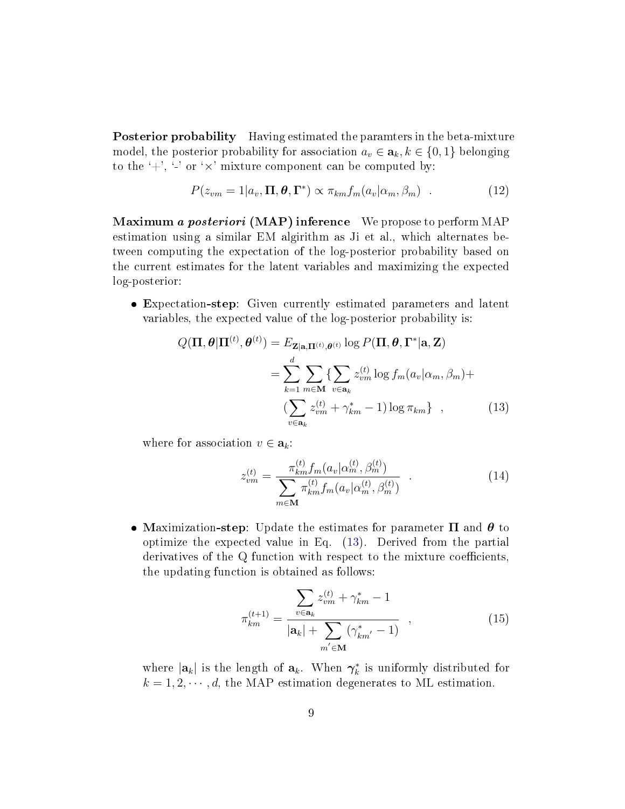Posterior probability Having estimated the paramters in the beta-mixture model, the posterior probability for association  $a_v \in \mathbf{a}_k, k \in \{0, 1\}$  belonging to the  $'$ ,  $'$ -' or ' $\times$ ' mixture component can be computed by:

$$
P(z_{vm} = 1|a_v, \Pi, \theta, \Gamma^*) \propto \pi_{km} f_m(a_v|\alpha_m, \beta_m) \quad . \tag{12}
$$

Maximum a posteriori (MAP) inference We propose to perform MAP estimation using a similar EM algirithm as Ji et al., which alternates between computing the expectation of the log-posterior probability based on the current estimates for the latent variables and maximizing the expected log-posterior:

 Expectation-step: Given currently estimated parameters and latent variables, the expected value of the log-posterior probability is:

$$
Q(\mathbf{\Pi}, \boldsymbol{\theta} | \mathbf{\Pi}^{(t)}, \boldsymbol{\theta}^{(t)}) = E_{\mathbf{Z} | \mathbf{a}, \mathbf{\Pi}^{(t)}, \boldsymbol{\theta}^{(t)}} \log P(\mathbf{\Pi}, \boldsymbol{\theta}, \boldsymbol{\Gamma}^* | \mathbf{a}, \mathbf{Z})
$$
  
= 
$$
\sum_{k=1}^d \sum_{m \in \mathbf{M}} \sum_{v \in \mathbf{a}_k} z_{vm}^{(t)} \log f_m(a_v | \alpha_m, \beta_m) +
$$
  

$$
(\sum_{v \in \mathbf{a}_k} z_{vm}^{(t)} + \gamma_{km}^* - 1) \log \pi_{km} \}, \qquad (13)
$$

where for association  $v \in \mathbf{a}_k$ :

<span id="page-8-0"></span>
$$
z_{vm}^{(t)} = \frac{\pi_{km}^{(t)} f_m(a_v | \alpha_m^{(t)}, \beta_m^{(t)})}{\sum_{m \in \mathbf{M}} \pi_{km}^{(t)} f_m(a_v | \alpha_m^{(t)}, \beta_m^{(t)})} \quad . \tag{14}
$$

• Maximization-step: Update the estimates for parameter  $\Pi$  and  $\theta$  to optimize the expected value in Eq. [\(13\)](#page-8-0). Derived from the partial derivatives of the Q function with respect to the mixture coefficients, the updating function is obtained as follows:

$$
\pi_{km}^{(t+1)} = \frac{\sum_{v \in \mathbf{a}_k} z_{vm}^{(t)} + \gamma_{km}^* - 1}{|\mathbf{a}_k| + \sum_{m' \in \mathbf{M}} (\gamma_{km'}^* - 1)},
$$
\n(15)

where  $|\mathbf{a}_k|$  is the length of  $\mathbf{a}_k$ . When  $\boldsymbol{\gamma}_k^*$  is uniformly distributed for  $k = 1, 2, \dots, d$ , the MAP estimation degenerates to ML estimation.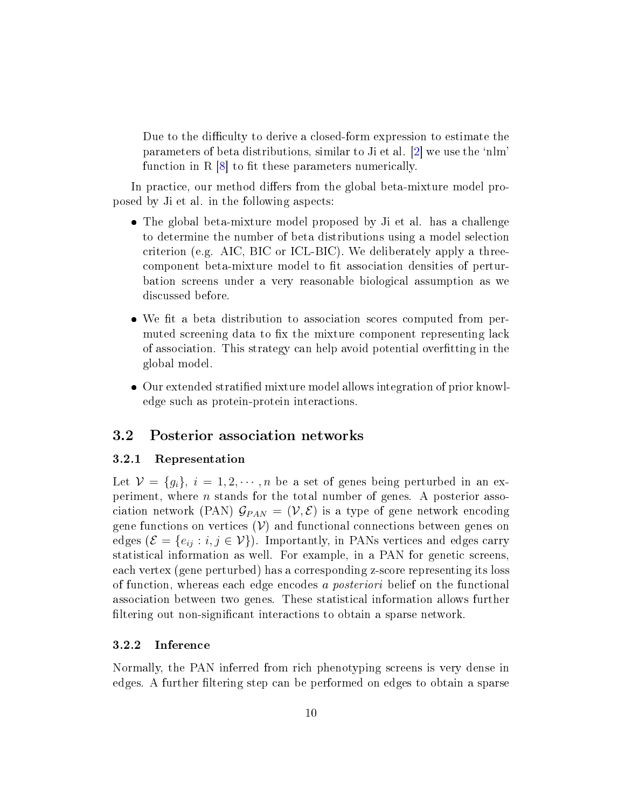<span id="page-9-3"></span>Due to the difficulty to derive a closed-form expression to estimate the parameters of beta distributions, similar to Ji et al. [\[2\]](#page-23-6) we use the `nlm' function in  $R$  [\[8\]](#page-23-8) to fit these parameters numerically.

In practice, our method differs from the global beta-mixture model proposed by Ji et al. in the following aspects:

- The global beta-mixture model proposed by Ji et al. has a challenge to determine the number of beta distributions using a model selection criterion (e.g. AIC, BIC or ICL-BIC). We deliberately apply a threecomponent beta-mixture model to fit association densities of perturbation screens under a very reasonable biological assumption as we discussed before.
- We fit a beta distribution to association scores computed from permuted screening data to fix the mixture component representing lack of association. This strategy can help avoid potential overfitting in the global model.
- Our extended stratified mixture model allows integration of prior knowledge such as protein-protein interactions.

### <span id="page-9-0"></span>3.2 Posterior association networks

#### <span id="page-9-1"></span>3.2.1 Representation

Let  $\mathcal{V} = \{g_i\}, i = 1, 2, \cdots, n$  be a set of genes being perturbed in an experiment, where  $n$  stands for the total number of genes. A posterior association network (PAN)  $\mathcal{G}_{PAN} = (\mathcal{V}, \mathcal{E})$  is a type of gene network encoding gene functions on vertices  $(V)$  and functional connections between genes on edges ( $\mathcal{E} = \{e_{ij} : i, j \in \mathcal{V}\}\)$ . Importantly, in PANs vertices and edges carry statistical information as well. For example, in a PAN for genetic screens, each vertex (gene perturbed) has a corresponding z-score representing its loss of function, whereas each edge encodes a posteriori belief on the functional association between two genes. These statistical information allows further filtering out non-significant interactions to obtain a sparse network.

#### <span id="page-9-2"></span>3.2.2 Inference

Normally, the PAN inferred from rich phenotyping screens is very dense in edges. A further filtering step can be performed on edges to obtain a sparse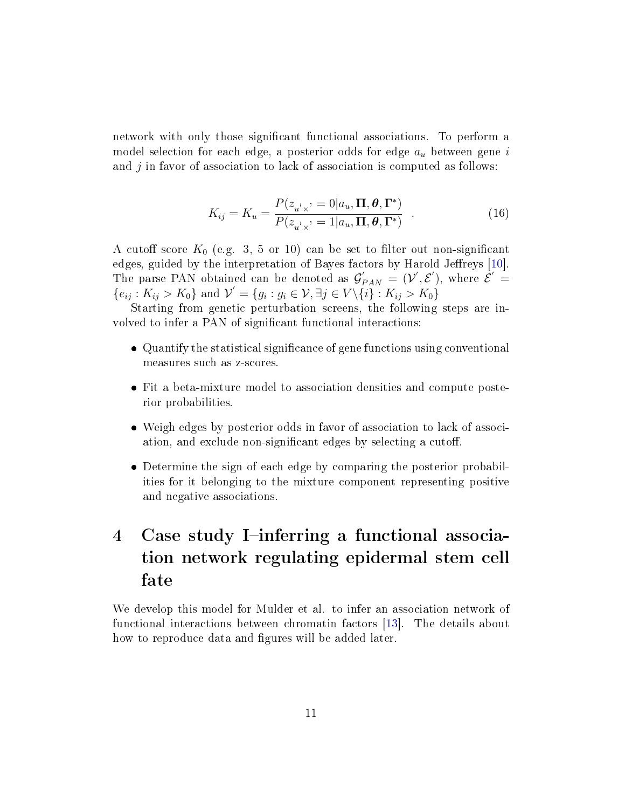<span id="page-10-2"></span>network with only those signicant functional associations. To perform a model selection for each edge, a posterior odds for edge  $a_u$  between gene i and  $j$  in favor of association to lack of association is computed as follows:

<span id="page-10-1"></span>
$$
K_{ij} = K_u = \frac{P(z_{u\, \times}) = 0|a_u, \Pi, \theta, \Gamma^*)}{P(z_{u\, \times}) = 1|a_u, \Pi, \theta, \Gamma^*)} \quad . \tag{16}
$$

A cutoff score  $K_0$  (e.g. 3, 5 or 10) can be set to filter out non-significant edges, guided by the interpretation of Bayes factors by Harold Jeffreys [\[10\]](#page-23-9). The parse PAN obtained can be denoted as  $\mathcal{G}'_{PAN} = (\mathcal{V}', \mathcal{E}')$ , where  $\mathcal{E}' =$  ${e_{ij}: K_{ij} > K_0}$  and  $\mathcal{V}' = {g_i : g_i \in \mathcal{V}, \exists j \in V \setminus {\{i\}} : K_{ij} > K_0}$ 

Starting from genetic perturbation screens, the following steps are involved to infer a PAN of significant functional interactions:

- Quantify the statistical signicance of gene functions using conventional measures such as z-scores.
- Fit a beta-mixture model to association densities and compute posterior probabilities.
- Weigh edges by posterior odds in favor of association to lack of association, and exclude non-significant edges by selecting a cutoff.
- Determine the sign of each edge by comparing the posterior probabilities for it belonging to the mixture component representing positive and negative associations.

## <span id="page-10-0"></span>4 Case study I-inferring a functional association network regulating epidermal stem cell fate

We develop this model for Mulder et al. to infer an association network of functional interactions between chromatin factors [\[13\]](#page-24-0). The details about how to reproduce data and figures will be added later.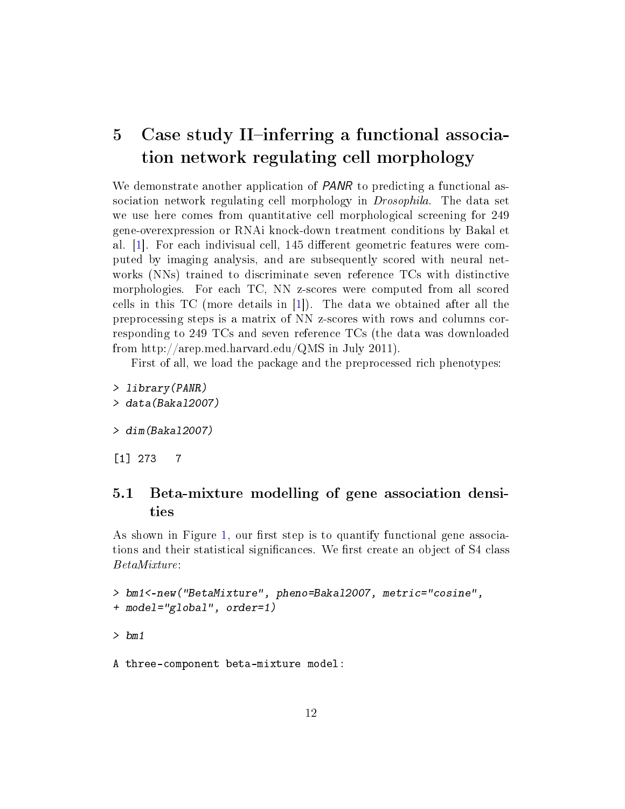## <span id="page-11-2"></span><span id="page-11-0"></span>5 Case study II-inferring a functional association network regulating cell morphology

We demonstrate another application of *PANR* to predicting a functional association network regulating cell morphology in Drosophila. The data set we use here comes from quantitative cell morphological screening for 249 gene-overexpression or RNAi knock-down treatment conditions by Bakal et al.  $|1|$ . For each indivisual cell, 145 different geometric features were computed by imaging analysis, and are subsequently scored with neural networks (NNs) trained to discriminate seven reference TCs with distinctive morphologies. For each TC, NN z-scores were computed from all scored cells in this TC (more details in [\[1\]](#page-23-1)). The data we obtained after all the preprocessing steps is a matrix of NN z-scores with rows and columns corresponding to 249 TCs and seven reference TCs (the data was downloaded from http://arep.med.harvard.edu/QMS in July 2011).

First of all, we load the package and the preprocessed rich phenotypes:

> library(PANR) > data(Bakal2007)

> dim(Bakal2007)

[1] 273 7

### <span id="page-11-1"></span>5.1 Beta-mixture modelling of gene association densities

As shown in Figure [1,](#page-2-1) our first step is to quantify functional gene associations and their statistical significances. We first create an object of S4 class BetaMixture:

```
> bm1<-new("BetaMixture", pheno=Bakal2007, metric="cosine",
+ model="global", order=1)
```
> bm1

A three-component beta-mixture model: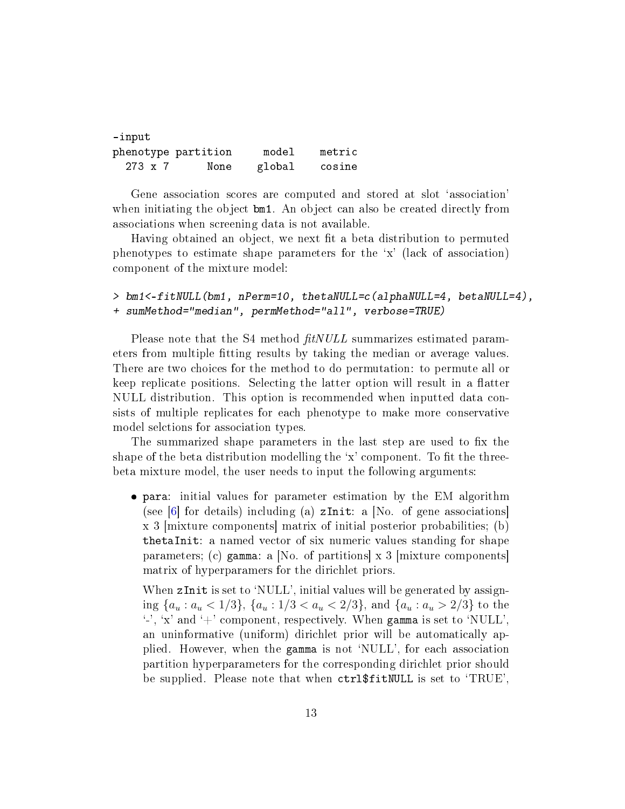<span id="page-12-0"></span>

| -input              |      |        |        |
|---------------------|------|--------|--------|
| phenotype partition |      | model  | metric |
| 273 x 7             | None | global | cosine |

Gene association scores are computed and stored at slot `association' when initiating the object bm1. An object can also be created directly from associations when screening data is not available.

Having obtained an object, we next fit a beta distribution to permuted phenotypes to estimate shape parameters for the `x' (lack of association) component of the mixture model:

```
> bm1<-fitNULL(bm1, nPerm=10, thetaNULL=c(alphaNULL=4, betaNULL=4),
+ sumMethod="median", permMethod="all", verbose=TRUE)
```
Please note that the S4 method  $\frac{f\text{t}}{N}UL$  summarizes estimated parameters from multiple fitting results by taking the median or average values. There are two choices for the method to do permutation: to permute all or keep replicate positions. Selecting the latter option will result in a flatter NULL distribution. This option is recommended when inputted data consists of multiple replicates for each phenotype to make more conservative model selctions for association types.

The summarized shape parameters in the last step are used to fix the shape of the beta distribution modelling the  $x'$  component. To fit the threebeta mixture model, the user needs to input the following arguments:

 para: initial values for parameter estimation by the EM algorithm (see [\[6\]](#page-23-3) for details) including (a)  $zInit: a$  [No. of gene associations] x 3 [mixture components] matrix of initial posterior probabilities; (b) thetaInit: a named vector of six numeric values standing for shape parameters; (c) gamma: a [No. of partitions] x 3 [mixture components] matrix of hyperparamers for the dirichlet priors.

When zInit is set to 'NULL', initial values will be generated by assigning  $\{a_u : a_u < 1/3\}$ ,  $\{a_u : 1/3 < a_u < 2/3\}$ , and  $\{a_u : a_u > 2/3\}$  to the  $\cdot$ , 'x' and  $\cdot$  + component, respectively. When gamma is set to 'NULL', an uninformative (uniform) dirichlet prior will be automatically applied. However, when the gamma is not `NULL', for each association partition hyperparameters for the corresponding dirichlet prior should be supplied. Please note that when ctrl\$fitNULL is set to `TRUE',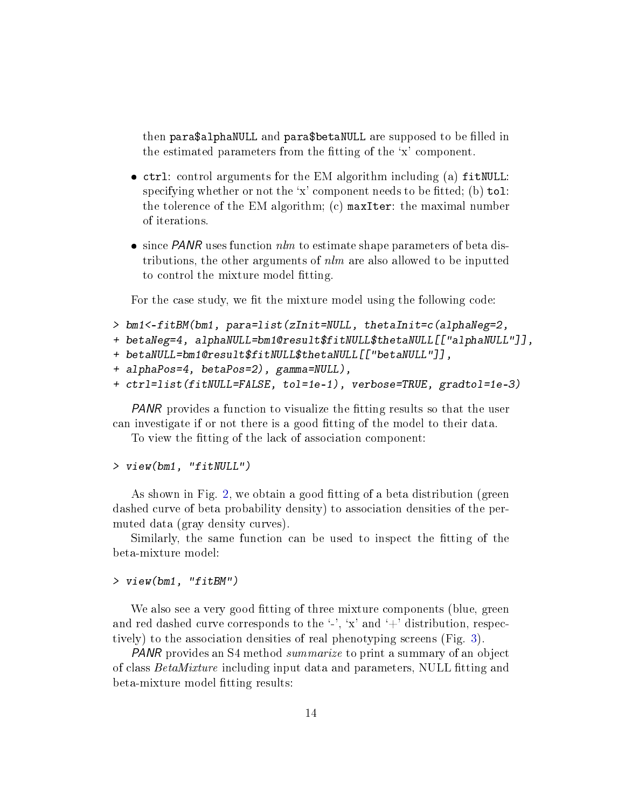then para\$alphaNULL and para\$betaNULL are supposed to be filled in the estimated parameters from the fitting of the 'x' component.

- ctrl: control arguments for the EM algorithm including (a) fitNULL: specifying whether or not the 'x' component needs to be fitted; (b)  $tol$ : the tolerence of the EM algorithm; (c) maxIter: the maximal number of iterations.
- $\bullet$  since PANR uses function  $nlm$  to estimate shape parameters of beta distributions, the other arguments of  $nlm$  are also allowed to be inputted to control the mixture model fitting.

For the case study, we fit the mixture model using the following code:

```
> bm1<-fitBM(bm1, para=list(zInit=NULL, thetaInit=c(alphaNeg=2,
```

```
+ betaNeg=4, alphaNULL=bm1@result$fitNULL$thetaNULL[["alphaNULL"]],
```
- + betaNULL=bm1@result\$fitNULL\$thetaNULL[["betaNULL"]],
- + alphaPos=4, betaPos=2), gamma=NULL),

```
+ ctrl=list(fitNULL=FALSE, tol=1e-1), verbose=TRUE, gradtol=1e-3)
```
PANR provides a function to visualize the fitting results so that the user can investigate if or not there is a good fitting of the model to their data.

To view the fitting of the lack of association component:

### > view(bm1, "fitNULL")

As shown in Fig. [2,](#page-14-0) we obtain a good fitting of a beta distribution (green dashed curve of beta probability density) to association densities of the permuted data (gray density curves).

Similarly, the same function can be used to inspect the fitting of the beta-mixture model:

### > view(bm1, "fitBM")

We also see a very good fitting of three mixture components (blue, green and red dashed curve corresponds to the  $\cdot$ ,  $\cdot$ ,  $\cdot$ x' and  $\cdot$ +' distribution, respectively) to the association densities of real phenotyping screens (Fig. [3\)](#page-15-0).

PANR provides an S4 method summarize to print a summary of an object of class BetaMixture including input data and parameters, NULL fitting and beta-mixture model fitting results: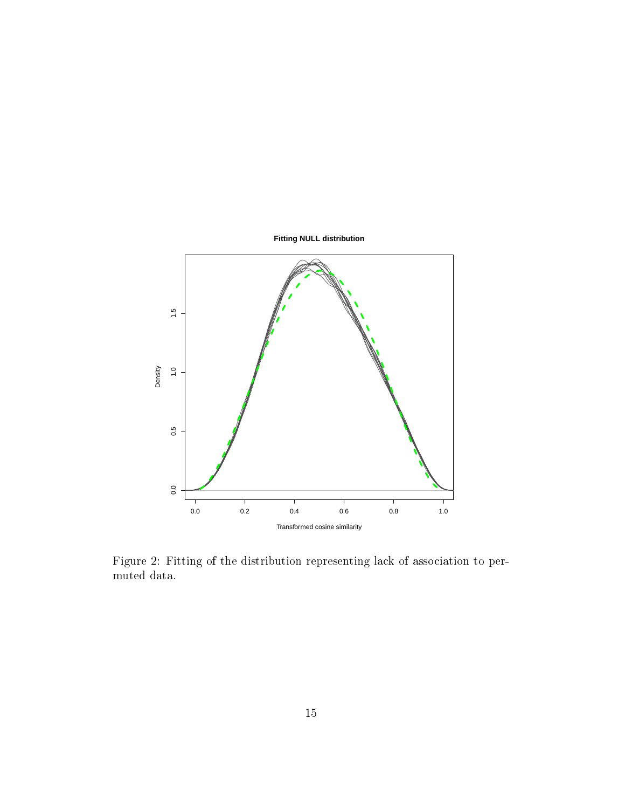

<span id="page-14-0"></span>Figure 2: Fitting of the distribution representing lack of association to permuted data.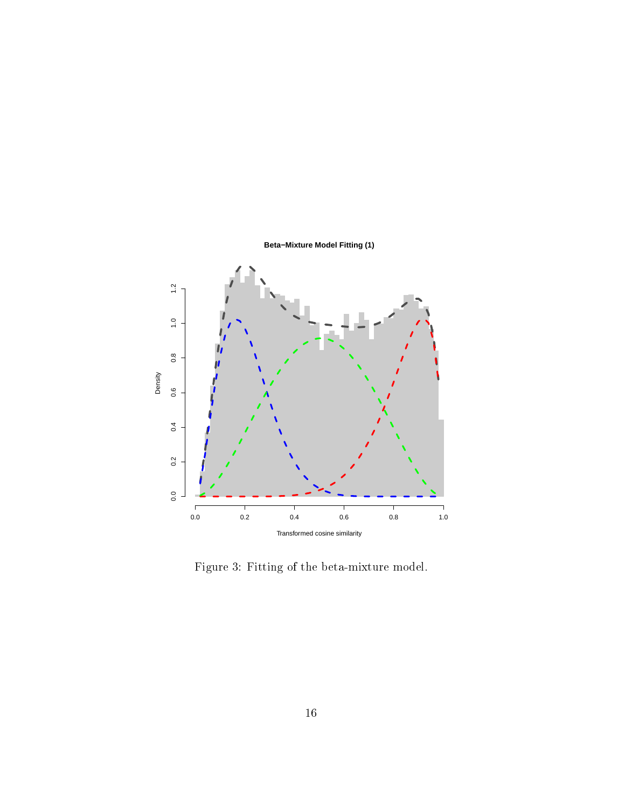

<span id="page-15-0"></span>Figure 3: Fitting of the beta-mixture model.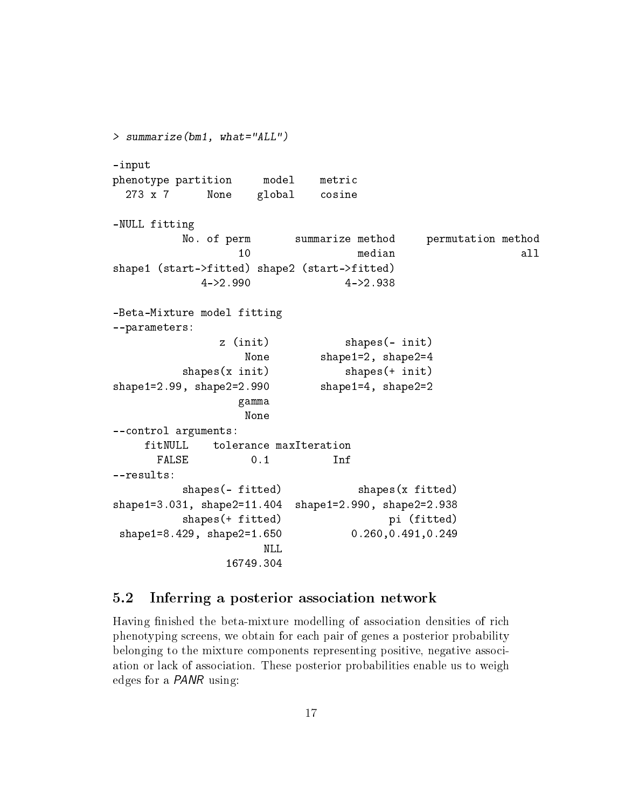> summarize(bm1, what="ALL") -input phenotype partition model metric 273 x 7 None global cosine -NULL fitting No. of perm summarize method permutation method 10 median all shape1 (start->fitted) shape2 (start->fitted) 4->2.990 4->2.938 -Beta-Mixture model fitting --parameters: z (init) shapes(- init) None shape1=2, shape2=4 shapes(x init) shapes(+ init) shape1=2.99, shape2=2.990 shape1=4, shape2=2 gamma None --control arguments: fitNULL tolerance maxIteration FALSE 0.1 Inf --results: shapes(- fitted) shapes(x fitted) shape1=3.031, shape2=11.404 shape1=2.990, shape2=2.938 shapes(+ fitted) pi (fitted) shape1=8.429, shape2=1.650 0.260,0.491,0.249 NLL 16749.304

### <span id="page-16-0"></span>5.2 Inferring a posterior association network

Having finished the beta-mixture modelling of association densities of rich phenotyping screens, we obtain for each pair of genes a posterior probability belonging to the mixture components representing positive, negative association or lack of association. These posterior probabilities enable us to weigh edges for a PANR using: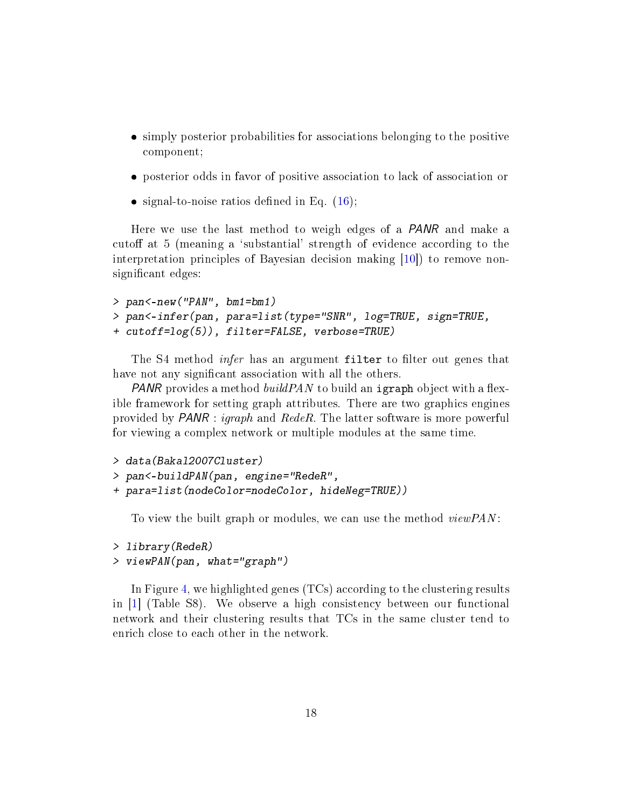- <span id="page-17-0"></span> simply posterior probabilities for associations belonging to the positive component;
- posterior odds in favor of positive association to lack of association or
- $\bullet$  signal-to-noise ratios defined in Eq. [\(16\)](#page-10-1);

Here we use the last method to weigh edges of a PANR and make a cutoff at 5 (meaning a 'substantial' strength of evidence according to the interpretation principles of Bayesian decision making [\[10\]](#page-23-9)) to remove nonsignificant edges:

```
> pan<-new("PAN", bm1=bm1)
> pan<-infer(pan, para=list(type="SNR", log=TRUE, sign=TRUE,
+ cutoff=log(5)), filter=FALSE, verbose=TRUE)
```
The S4 method *infer* has an argument filter to filter out genes that have not any significant association with all the others.

**PANR** provides a method build PAN to build an igraph object with a flexible framework for setting graph attributes. There are two graphics engines provided by PANR : igraph and RedeR. The latter software is more powerful for viewing a complex network or multiple modules at the same time.

```
> data(Bakal2007Cluster)
> pan<-buildPAN(pan, engine="RedeR",
+ para=list(nodeColor=nodeColor, hideNeg=TRUE))
```
To view the built graph or modules, we can use the method *viewPAN*:

```
> library(RedeR)
```

```
> viewPAN(pan, what="graph")
```
In Figure [4,](#page-18-0) we highlighted genes (TCs) according to the clustering results in [\[1\]](#page-23-1) (Table S8). We observe a high consistency between our functional network and their clustering results that TCs in the same cluster tend to enrich close to each other in the network.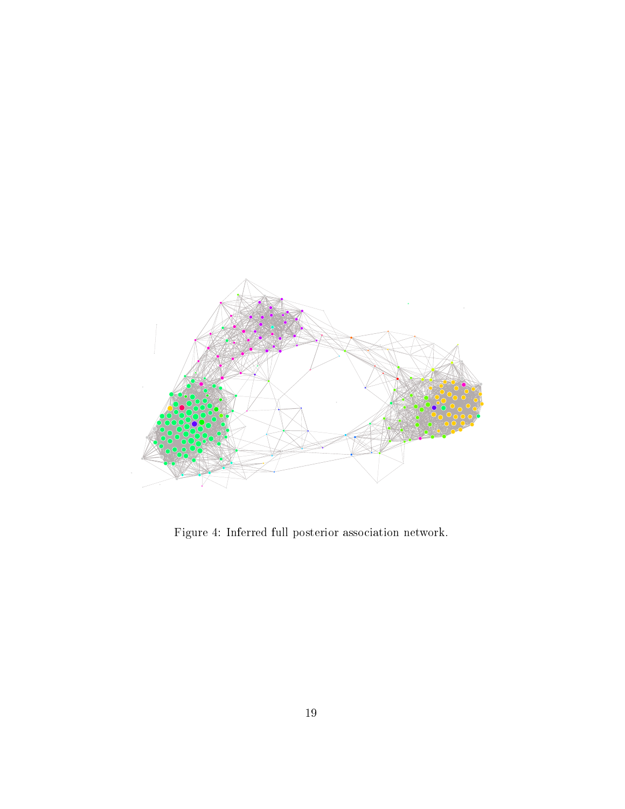<span id="page-18-0"></span>

Figure 4: Inferred full posterior association network.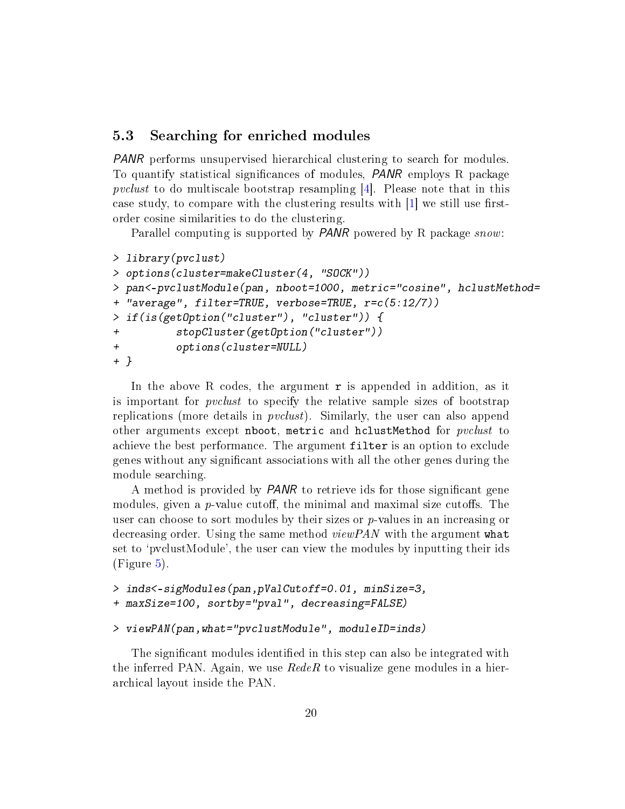### <span id="page-19-1"></span><span id="page-19-0"></span>5.3 Searching for enriched modules

PANR performs unsupervised hierarchical clustering to search for modules. To quantify statistical signicances of modules, PANR employs R package pvclust to do multiscale bootstrap resampling [\[4\]](#page-23-4). Please note that in this case study, to compare with the clustering results with  $[1]$  we still use firstorder cosine similarities to do the clustering.

Parallel computing is supported by *PANR* powered by R package *snow*:

```
> library(pvclust)
> options(cluster=makeCluster(4, "SOCK"))
> pan<-pvclustModule(pan, nboot=1000, metric="cosine", hclustMethod=
+ "average", filter=TRUE, verbose=TRUE, r=c(5:12/7))
> if(is(getOption("cluster"), "cluster")) {
+ stopCluster(getOption("cluster"))
          + options(cluster=NULL)
+ }
```
In the above R codes, the argument  $\mathbf r$  is appended in addition, as it is important for *pvclust* to specify the relative sample sizes of bootstrap replications (more details in *pvclust*). Similarly, the user can also append other arguments except nboot, metric and hclustMethod for *pvclust* to achieve the best performance. The argument filter is an option to exclude genes without any signicant associations with all the other genes during the module searching.

A method is provided by *PANR* to retrieve ids for those significant gene modules, given a  $p$ -value cutoff, the minimal and maximal size cutoffs. The user can choose to sort modules by their sizes or  $p$ -values in an increasing or decreasing order. Using the same method  $viewPAN$  with the argument what set to 'pvclustModule', the user can view the modules by inputting their ids (Figure [5\)](#page-20-0).

```
> inds<-sigModules(pan,pValCutoff=0.01, minSize=3,
+ maxSize=100, sortby="pval", decreasing=FALSE)
```

```
> viewPAN(pan,what="pvclustModule", moduleID=inds)
```
The significant modules identified in this step can also be integrated with the inferred PAN. Again, we use  $RedeR$  to visualize gene modules in a hierarchical layout inside the PAN.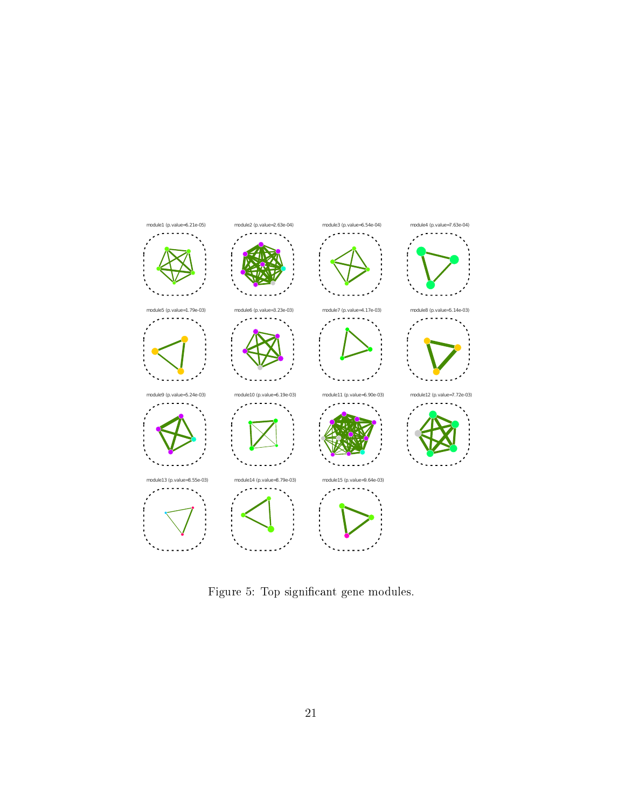

<span id="page-20-0"></span>Figure 5: Top significant gene modules.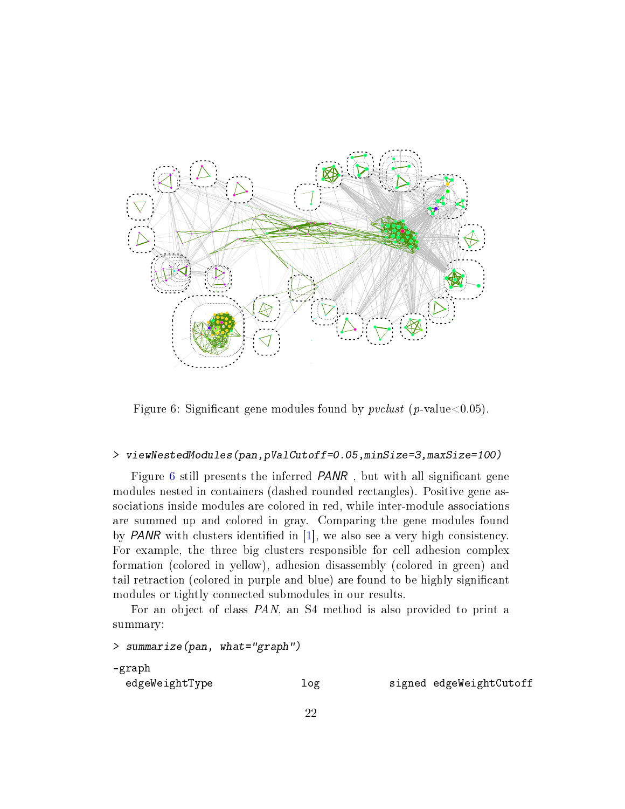<span id="page-21-1"></span>

<span id="page-21-0"></span>Figure 6: Significant gene modules found by  $pvelust$  (p-value  $0.05$ ).

### > viewNestedModules(pan,pValCutoff=0.05,minSize=3,maxSize=100)

Figure [6](#page-21-0) still presents the inferred *PANR*, but with all significant gene modules nested in containers (dashed rounded rectangles). Positive gene associations inside modules are colored in red, while inter-module associations are summed up and colored in gray. Comparing the gene modules found by **PANR** with clusters identified in  $[1]$ , we also see a very high consistency. For example, the three big clusters responsible for cell adhesion complex formation (colored in yellow), adhesion disassembly (colored in green) and tail retraction (colored in purple and blue) are found to be highly signicant modules or tightly connected submodules in our results.

For an object of class PAN, an S4 method is also provided to print a summary:

```
> summarize(pan, what="graph")
-graph
 edgeWeightType log log signed edgeWeightCutoff
```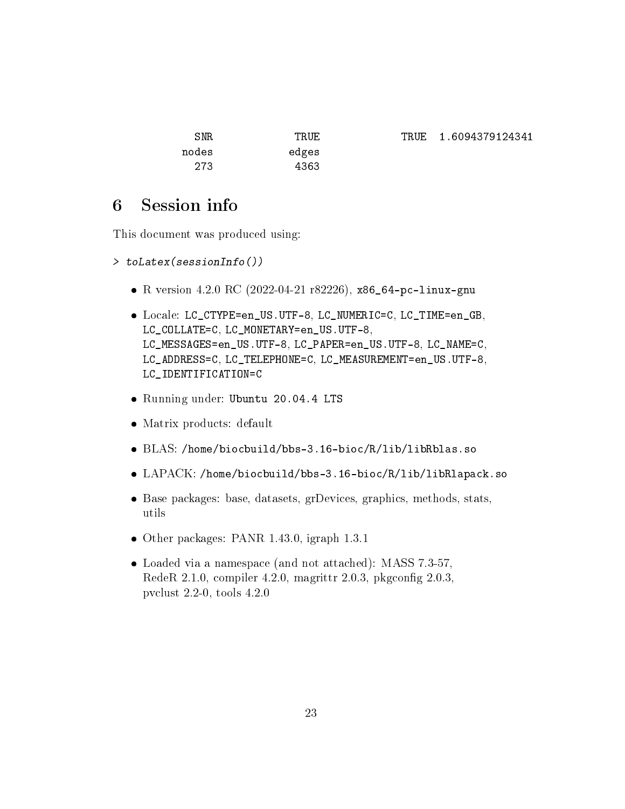| TRUF  |
|-------|
| edges |
| 4363  |
|       |

## <span id="page-22-0"></span>6 Session info

This document was produced using:

```
> toLatex(sessionInfo())
```
- R version 4.2.0 RC (2022-04-21 r82226), x86\_64-pc-linux-gnu
- Locale: LC\_CTYPE=en\_US.UTF-8, LC\_NUMERIC=C, LC\_TIME=en\_GB, LC\_COLLATE=C, LC\_MONETARY=en\_US.UTF-8, LC\_MESSAGES=en\_US.UTF-8, LC\_PAPER=en\_US.UTF-8, LC\_NAME=C, LC\_ADDRESS=C, LC\_TELEPHONE=C, LC\_MEASUREMENT=en\_US.UTF-8, LC\_IDENTIFICATION=C
- Running under: Ubuntu 20.04.4 LTS
- Matrix products: default
- BLAS: /home/biocbuild/bbs-3.16-bioc/R/lib/libRblas.so
- LAPACK: /home/biocbuild/bbs-3.16-bioc/R/lib/libRlapack.so
- Base packages: base, datasets, grDevices, graphics, methods, stats, utils
- Other packages: PANR 1.43.0, igraph 1.3.1
- Loaded via a namespace (and not attached): MASS 7.3-57, RedeR  $2.1.0$ , compiler  $4.2.0$ , magrittr  $2.0.3$ , pkgconfig  $2.0.3$ , pvclust 2.2-0, tools 4.2.0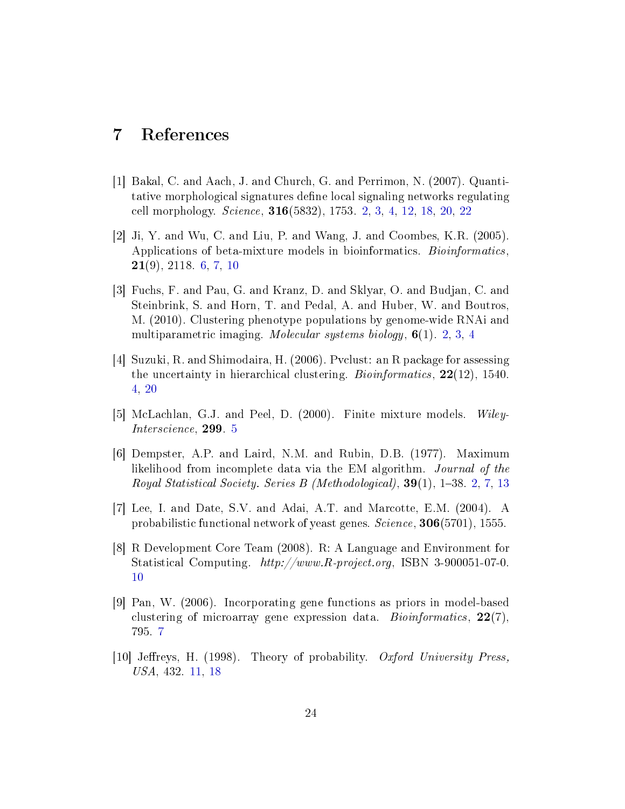## <span id="page-23-0"></span>7 References

- <span id="page-23-1"></span>[1] Bakal, C. and Aach, J. and Church, G. and Perrimon, N. (2007). Quantitative morphological signatures define local signaling networks regulating cell morphology. Science, 316(5832), 1753. [2,](#page-1-1) [3,](#page-2-2) [4,](#page-3-0) [12,](#page-11-2) [18,](#page-17-0) [20,](#page-19-1) [22](#page-21-1)
- <span id="page-23-6"></span>[2] Ji, Y. and Wu, C. and Liu, P. and Wang, J. and Coombes, K.R. (2005). Applications of beta-mixture models in bioinformatics. Bioinformatics, 21(9), 2118. [6,](#page-5-0) [7,](#page-6-0) [10](#page-9-3)
- <span id="page-23-2"></span>[3] Fuchs, F. and Pau, G. and Kranz, D. and Sklyar, O. and Budjan, C. and Steinbrink, S. and Horn, T. and Pedal, A. and Huber, W. and Boutros, M. (2010). Clustering phenotype populations by genome-wide RNAi and multiparametric imaging. Molecular systems biology, 6(1). [2,](#page-1-1) [3,](#page-2-2) [4](#page-3-0)
- <span id="page-23-4"></span>[4] Suzuki, R. and Shimodaira, H. (2006). Pvclust: an R package for assessing the uncertainty in hierarchical clustering. *Bioinformatics*, **22**(12), 1540. [4,](#page-3-0) [20](#page-19-1)
- <span id="page-23-5"></span>[5] McLachlan, G.J. and Peel, D. (2000). Finite mixture models. Wiley-Interscience, 299. [5](#page-4-4)
- <span id="page-23-3"></span>[6] Dempster, A.P. and Laird, N.M. and Rubin, D.B. (1977). Maximum likelihood from incomplete data via the EM algorithm. Journal of the Royal Statistical Society. Series B (Methodological),  $39(1)$ ,  $1-38$ . [2,](#page-1-1) [7,](#page-6-0) [13](#page-12-0)
- [7] Lee, I. and Date, S.V. and Adai, A.T. and Marcotte, E.M. (2004). A probabilistic functional network of yeast genes. Science, 306(5701), 1555.
- <span id="page-23-8"></span>[8] R Development Core Team (2008). R: A Language and Environment for Statistical Computing. http://www.R-project.org, ISBN 3-900051-07-0. [10](#page-9-3)
- <span id="page-23-7"></span>[9] Pan, W. (2006). Incorporating gene functions as priors in model-based clustering of microarray gene expression data. *Bioinformatics*, 22(7), 795. [7](#page-6-0)
- <span id="page-23-9"></span>[10] Jereys, H. (1998). Theory of probability. Oxford University Press, USA, 432. [11,](#page-10-2) [18](#page-17-0)